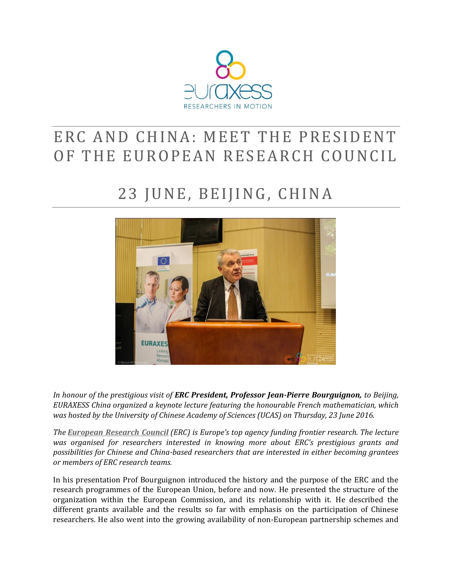

## ERC AND CHINA: MEET THE PRESIDENT OF THE EUROPEAN RESEARCH COUNCIL

# 23 JUNE, BEIJING, CHINA



*In honour of the prestigious visit of ERC President, Professor Jean-Pierre Bourguignon, to Beijing, EURAXESS China organized a keynote lecture featuring the honourable French mathematician, which was hosted by the University of Chinese Academy of Sciences (UCAS) on Thursday, 23 June 2016.* 

*The [European Research Council](http://erc.europa.eu/) (ERC) is Europe's top agency funding frontier research. The lecture was organised for researchers interested in knowing more about ERC's prestigious grants and possibilities for Chinese and China-based researchers that are interested in either becoming grantees or members of ERC research teams.*

In his presentation Prof Bourguignon introduced the history and the purpose of the ERC and the research programmes of the European Union, before and now. He presented the structure of the organization within the European Commission, and its relationship with it. He described the different grants available and the results so far with emphasis on the participation of Chinese researchers. He also went into the growing availability of non-European partnership schemes and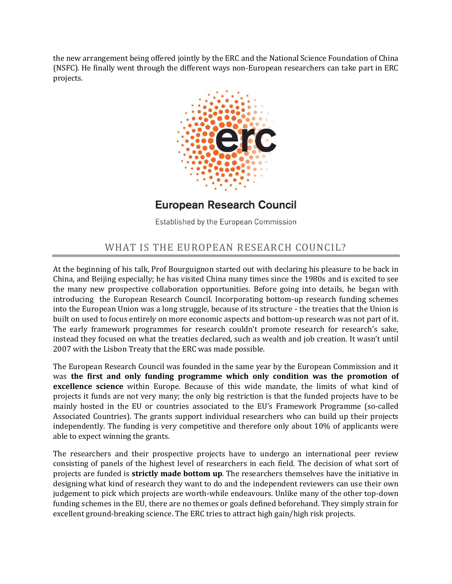the new arrangement being offered jointly by the ERC and the National Science Foundation of China (NSFC). He finally went through the different ways non-European researchers can take part in ERC projects.



## **European Research Council**

Established by the European Commission

#### WHAT IS THE EUROPEAN RESEARCH COUNCIL?

At the beginning of his talk, Prof Bourguignon started out with declaring his pleasure to be back in China, and Beijing especially; he has visited China many times since the 1980s and is excited to see the many new prospective collaboration opportunities. Before going into details, he began with introducing the European Research Council. Incorporating bottom-up research funding schemes into the European Union was a long struggle, because of its structure - the treaties that the Union is built on used to focus entirely on more economic aspects and bottom-up research was not part of it. The early framework programmes for research couldn't promote research for research's sake, instead they focused on what the treaties declared, such as wealth and job creation. It wasn't until 2007 with the Lisbon Treaty that the ERC was made possible.

The European Research Council was founded in the same year by the European Commission and it was **the first and only funding programme which only condition was the promotion of excellence science** within Europe. Because of this wide mandate, the limits of what kind of projects it funds are not very many; the only big restriction is that the funded projects have to be mainly hosted in the EU or countries associated to the EU's Framework Programme (so-called Associated Countries). The grants support individual researchers who can build up their projects independently. The funding is very competitive and therefore only about 10% of applicants were able to expect winning the grants.

The researchers and their prospective projects have to undergo an international peer review consisting of panels of the highest level of researchers in each field. The decision of what sort of projects are funded is **strictly made bottom up**. The researchers themselves have the initiative in designing what kind of research they want to do and the independent reviewers can use their own judgement to pick which projects are worth-while endeavours. Unlike many of the other top-down funding schemes in the EU, there are no themes or goals defined beforehand. They simply strain for excellent ground-breaking science. The ERC tries to attract high gain/high risk projects.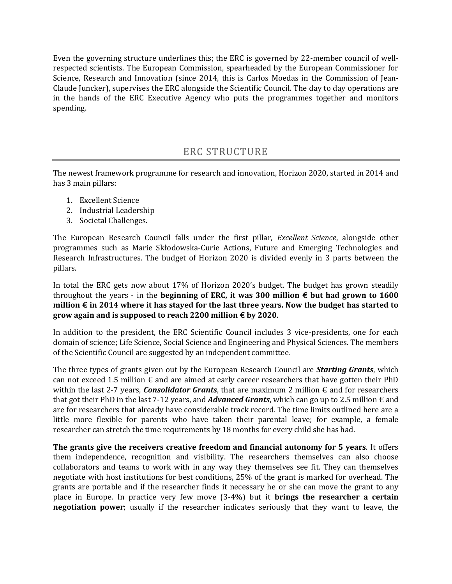Even the governing structure underlines this; the ERC is governed by 22-member council of wellrespected scientists. The European Commission, spearheaded by the European Commissioner for Science, Research and Innovation (since 2014, this is Carlos Moedas in the Commission of Jean-Claude Juncker), supervises the ERC alongside the Scientific Council. The day to day operations are in the hands of the ERC Executive Agency who puts the programmes together and monitors spending.

## ERC STRUCTURE

The newest framework programme for research and innovation, Horizon 2020, started in 2014 and has 3 main pillars:

- 1. Excellent Science
- 2. Industrial Leadership
- 3. Societal Challenges.

The European Research Council falls under the first pillar, *Excellent Science*, alongside other programmes such as Marie Skłodowska-Curie Actions, Future and Emerging Technologies and Research Infrastructures. The budget of Horizon 2020 is divided evenly in 3 parts between the pillars.

In total the ERC gets now about 17% of Horizon 2020's budget. The budget has grown steadily throughout the years - in the **beginning of ERC, it was 300 million € but had grown to 1600 million € in 2014 where it has stayed for the last three years. Now the budget has started to grow again and is supposed to reach 2200 million € by 2020**.

In addition to the president, the ERC Scientific Council includes 3 vice-presidents, one for each domain of science; Life Science, Social Science and Engineering and Physical Sciences. The members of the Scientific Council are suggested by an independent committee.

The three types of grants given out by the European Research Council are *Starting Grants*, which can not exceed 1.5 million  $\epsilon$  and are aimed at early career researchers that have gotten their PhD within the last 2-7 years, *Consolidator Grants*, that are maximum 2 million  $\epsilon$  and for researchers that got their PhD in the last 7-12 years, and *Advanced Grants*, which can go up to 2.5 million  $\epsilon$  and are for researchers that already have considerable track record. The time limits outlined here are a little more flexible for parents who have taken their parental leave; for example, a female researcher can stretch the time requirements by 18 months for every child she has had.

**The grants give the receivers creative freedom and financial autonomy for 5 years**. It offers them independence, recognition and visibility. The researchers themselves can also choose collaborators and teams to work with in any way they themselves see fit. They can themselves negotiate with host institutions for best conditions, 25% of the grant is marked for overhead. The grants are portable and if the researcher finds it necessary he or she can move the grant to any place in Europe. In practice very few move (3-4%) but it **brings the researcher a certain negotiation power**; usually if the researcher indicates seriously that they want to leave, the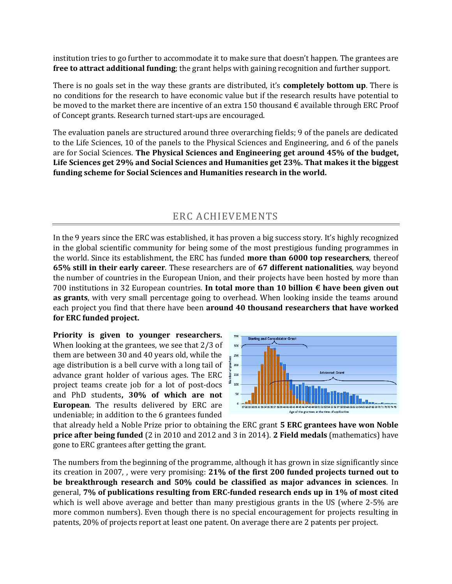institution tries to go further to accommodate it to make sure that doesn't happen. The grantees are **free to attract additional funding**; the grant helps with gaining recognition and further support.

There is no goals set in the way these grants are distributed, it's **completely bottom up**. There is no conditions for the research to have economic value but if the research results have potential to be moved to the market there are incentive of an extra 150 thousand  $\epsilon$  available through ERC Proof of Concept grants. Research turned start-ups are encouraged.

The evaluation panels are structured around three overarching fields; 9 of the panels are dedicated to the Life Sciences, 10 of the panels to the Physical Sciences and Engineering, and 6 of the panels are for Social Sciences. **The Physical Sciences and Engineering get around 45% of the budget, Life Sciences get 29% and Social Sciences and Humanities get 23%. That makes it the biggest funding scheme for Social Sciences and Humanities research in the world.**

#### ERC ACHIEVEMENTS

In the 9 years since the ERC was established, it has proven a big success story. It's highly recognized in the global scientific community for being some of the most prestigious funding programmes in the world. Since its establishment, the ERC has funded **more than 6000 top researchers**, thereof **65% still in their early career**. These researchers are of **67 different nationalities**, way beyond the number of countries in the European Union, and their projects have been hosted by more than 700 institutions in 32 European countries. **In total more than 10 billion € have been given out as grants**, with very small percentage going to overhead. When looking inside the teams around each project you find that there have been **around 40 thousand researchers that have worked for ERC funded project.**

**Priority is given to younger researchers.** When looking at the grantees, we see that 2/3 of them are between 30 and 40 years old, while the age distribution is a bell curve with a long tail of advance grant holder of various ages. The ERC project teams create job for a lot of post-docs and PhD students**, 30% of which are not European**. The results delivered by ERC are undeniable; in addition to the 6 grantees funded



that already held a Noble Prize prior to obtaining the ERC grant **5 ERC grantees have won Noble price after being funded** (2 in 2010 and 2012 and 3 in 2014). **2 Field medals** (mathematics) have gone to ERC grantees after getting the grant.

The numbers from the beginning of the programme, although it has grown in size significantly since its creation in 2007, , were very promising: **21% of the first 200 funded projects turned out to be breakthrough research and 50% could be classified as major advances in sciences**. In general, **7% of publications resulting from ERC-funded research ends up in 1% of most cited** which is well above average and better than many prestigious grants in the US (where 2-5% are more common numbers). Even though there is no special encouragement for projects resulting in patents, 20% of projects report at least one patent. On average there are 2 patents per project.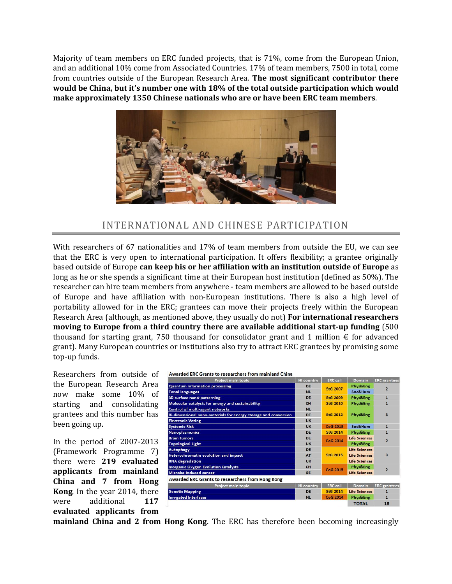Majority of team members on ERC funded projects, that is 71%, come from the European Union, and an additional 10% come from Associated Countries. 17% of team members, 7500 in total, come from countries outside of the European Research Area. **The most significant contributor there would be China, but it's number one with 18% of the total outside participation which would make approximately 1350 Chinese nationals who are or have been ERC team members**.



#### INTERNATIONAL AND CHINESE PARTICIPATION

With researchers of 67 nationalities and 17% of team members from outside the EU, we can see that the ERC is very open to international participation. It offers flexibility; a grantee originally based outside of Europe **can keep his or her affiliation with an institution outside of Europe** as long as he or she spends a significant time at their European host institution (defined as 50%). The researcher can hire team members from anywhere - team members are allowed to be based outside of Europe and have affiliation with non-European institutions. There is also a high level of portability allowed for in the ERC; grantees can move their projects freely within the European Research Area (although, as mentioned above, they usually do not) **For international researchers moving to Europe from a third country there are available additional start-up funding** (500 thousand for starting grant, 750 thousand for consolidator grant and 1 million  $\epsilon$  for advanced grant). Many European countries or institutions also try to attract ERC grantees by promising some top-up funds.

Researchers from outside of the European Research Area now make some 10% of starting and consolidating grantees and this number has been going up.

In the period of 2007-2013 (Framework Programme 7) there were **219 evaluated applicants from mainland China and 7 from Hong Kong**. In the year 2014, there were additional **117 evaluated applicants from** 



| Project main topic                                              | <b>HI</b> country | <b>ERC</b> call | Domain               | <b>ERC</b> grantees |
|-----------------------------------------------------------------|-------------------|-----------------|----------------------|---------------------|
| <b>Quantum information processing</b>                           | DE                | <b>StG 2007</b> | Phys&Eng             | $\overline{2}$      |
| <b>Tonal languages</b>                                          | <b>NL</b>         |                 | Soc&Hum              |                     |
| 3D surface nano-patterning                                      | DE                | <b>StG 2009</b> | Phys&Eng             | 1                   |
| Molecular catalysts for energy and sustainability               | CH                | <b>StG 2010</b> | Phys&Eng             | $\mathbf{1}$        |
| Control of multi-agent networks                                 | <b>NL</b>         | StG 2012        | <b>Phys&amp;Eng</b>  | 3                   |
| Bi-dimensional nano-materials for energy storage and conversion | DE                |                 |                      |                     |
| <b>Electronic Voting</b>                                        | <b>UK</b>         |                 |                      |                     |
| <b>Systemic Risk</b>                                            | UK                | CoG 2013        | Soc&Hum              | $\mathbf{1}$        |
| Nanoplasmonics                                                  | DE                | <b>StG 2014</b> | Phys&Eng             | $\mathbf{1}$        |
| <b>Brain tumors</b>                                             | DE                | <b>CoG 2014</b> | <b>Life Sciences</b> | $\overline{2}$      |
| <b>Topological Light</b>                                        | <b>UK</b>         |                 | Phys&Eng             |                     |
| Autophagy                                                       | DE                | <b>StG 2015</b> | <b>Life Sciences</b> | 3                   |
| Heterochromatin evolution and impact                            | AT                |                 | <b>Life Sciences</b> |                     |
| <b>RNA</b> degradation                                          | <b>UK</b>         |                 | <b>Life Sciences</b> |                     |
| <b>Inorganic Oxygen Evolution Catalysts</b>                     | CH                | <b>CoG 2015</b> | Phys&Eng             | $\overline{2}$      |
| Microbe-induced cancer                                          | <b>SE</b>         |                 | <b>Life Sciences</b> |                     |
| <b>Awarded ERC Grants to researchers from Hong Kong</b>         |                   |                 |                      |                     |
| Project main topic                                              | <b>HI</b> country | <b>ERC</b> call | <b>Domain</b>        | <b>ERC</b> grantees |
| <b>Genetic Mapping</b>                                          | DE                | <b>StG 2014</b> | <b>Life Sciences</b> | $\mathbf{1}$        |
| lon-gated Interfaces                                            | <b>NL</b>         | <b>CoG 2014</b> | Phys&Eng             | $\mathbf{1}$        |
|                                                                 |                   |                 | <b>TOTAL</b>         | 18                  |

**mainland China and 2 from Hong Kong**. The ERC has therefore been becoming increasingly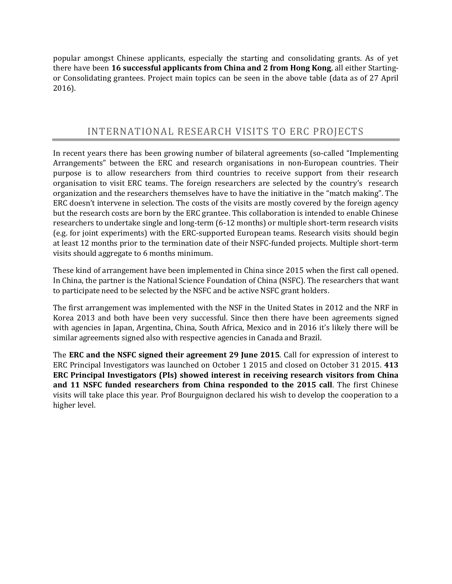popular amongst Chinese applicants, especially the starting and consolidating grants. As of yet there have been **16 successful applicants from China and 2 from Hong Kong**, all either Startingor Consolidating grantees. Project main topics can be seen in the above table (data as of 27 April 2016).

#### INTERNATIONAL RESEARCH VISITS TO ERC PROJECTS

In recent years there has been growing number of bilateral agreements (so-called "Implementing Arrangements" between the ERC and research organisations in non-European countries. Their purpose is to allow researchers from third countries to receive support from their research organisation to visit ERC teams. The foreign researchers are selected by the country's research organization and the researchers themselves have to have the initiative in the "match making". The ERC doesn't intervene in selection. The costs of the visits are mostly covered by the foreign agency but the research costs are born by the ERC grantee. This collaboration is intended to enable Chinese researchers to undertake single and long-term (6-12 months) or multiple short-term research visits (e.g. for joint experiments) with the ERC-supported European teams. Research visits should begin at least 12 months prior to the termination date of their NSFC-funded projects. Multiple short-term visits should aggregate to 6 months minimum.

These kind of arrangement have been implemented in China since 2015 when the first call opened. In China, the partner is the National Science Foundation of China (NSFC). The researchers that want to participate need to be selected by the NSFC and be active NSFC grant holders.

The first arrangement was implemented with the NSF in the United States in 2012 and the NRF in Korea 2013 and both have been very successful. Since then there have been agreements signed with agencies in Japan, Argentina, China, South Africa, Mexico and in 2016 it's likely there will be similar agreements signed also with respective agencies in Canada and Brazil.

The **ERC and the NSFC signed their agreement 29 June 2015**. Call for expression of interest to ERC Principal Investigators was launched on October 1 2015 and closed on October 31 2015. **413 ERC Principal Investigators (PIs) showed interest in receiving research visitors from China and 11 NSFC funded researchers from China responded to the 2015 call**. The first Chinese visits will take place this year. Prof Bourguignon declared his wish to develop the cooperation to a higher level.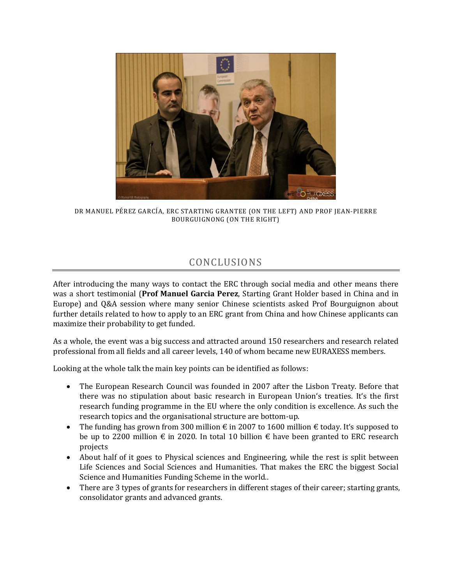

DR MANUEL PÉREZ GARCÍA, ERC STARTING GRANTEE (ON THE LEFT) AND PROF JEAN-PIERRE BOURGUIGNONG (ON THE RIGHT)

## CONCLUSIONS

After introducing the many ways to contact the ERC through social media and other means there was a short testimonial (**Prof Manuel Garcia Perez**, Starting Grant Holder based in China and in Europe) and Q&A session where many senior Chinese scientists asked Prof Bourguignon about further details related to how to apply to an ERC grant from China and how Chinese applicants can maximize their probability to get funded.

As a whole, the event was a big success and attracted around 150 researchers and research related professional from all fields and all career levels, 140 of whom became new EURAXESS members.

Looking at the whole talk the main key points can be identified as follows:

- The European Research Council was founded in 2007 after the Lisbon Treaty. Before that there was no stipulation about basic research in European Union's treaties. It's the first research funding programme in the EU where the only condition is excellence. As such the research topics and the organisational structure are bottom-up.
- The funding has grown from 300 million  $\epsilon$  in 2007 to 1600 million  $\epsilon$  today. It's supposed to be up to 2200 million  $\epsilon$  in 2020. In total 10 billion  $\epsilon$  have been granted to ERC research projects
- About half of it goes to Physical sciences and Engineering, while the rest is split between Life Sciences and Social Sciences and Humanities. That makes the ERC the biggest Social Science and Humanities Funding Scheme in the world..
- There are 3 types of grants for researchers in different stages of their career; starting grants, consolidator grants and advanced grants.